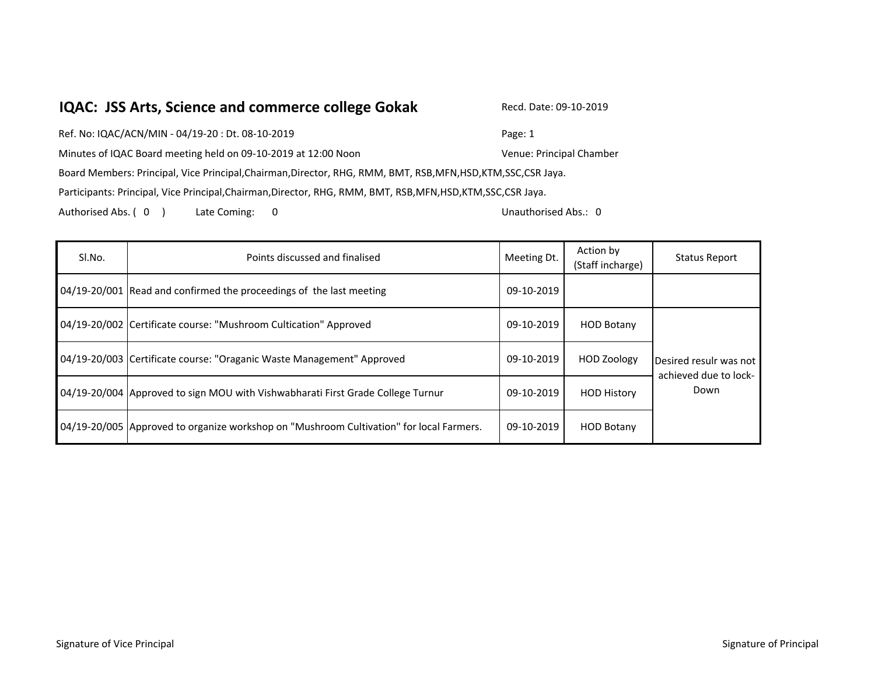## **IQAC: JSS Arts, Science and commerce college Gokak** Recd. Date: 09-10-2019

Ref. No: IQAC/ACN/MIN - 04/19-20 : Dt. 08-10-2019 Page: 1 Minutes of IQAC Board meeting held on 09-10-2019 at 12:00 Noon Venue: Principal Chamber Board Members: Principal, Vice Principal,Chairman,Director, RHG, RMM, BMT, RSB,MFN,HSD,KTM,SSC,CSR Jaya. Participants: Principal, Vice Principal,Chairman,Director, RHG, RMM, BMT, RSB,MFN,HSD,KTM,SSC,CSR Jaya. Authorised Abs. ( 0 ) Late Coming: 0 Unauthorised Abs.: 0

| SI.No. | Points discussed and finalised                                                          | Meeting Dt. | Action by<br>(Staff incharge) | <b>Status Report</b>                                    |
|--------|-----------------------------------------------------------------------------------------|-------------|-------------------------------|---------------------------------------------------------|
|        | 04/19-20/001 Read and confirmed the proceedings of the last meeting                     | 09-10-2019  |                               |                                                         |
|        | 04/19-20/002 Certificate course: "Mushroom Cultication" Approved                        | 09-10-2019  | <b>HOD Botany</b>             | Desired resulr was not<br>achieved due to lock-<br>Down |
|        | 04/19-20/003 Certificate course: "Oraganic Waste Management" Approved                   | 09-10-2019  | <b>HOD Zoology</b>            |                                                         |
|        | 04/19-20/004 Approved to sign MOU with Vishwabharati First Grade College Turnur         | 09-10-2019  | <b>HOD History</b>            |                                                         |
|        | 04/19-20/005 Approved to organize workshop on "Mushroom Cultivation" for local Farmers. | 09-10-2019  | <b>HOD Botany</b>             |                                                         |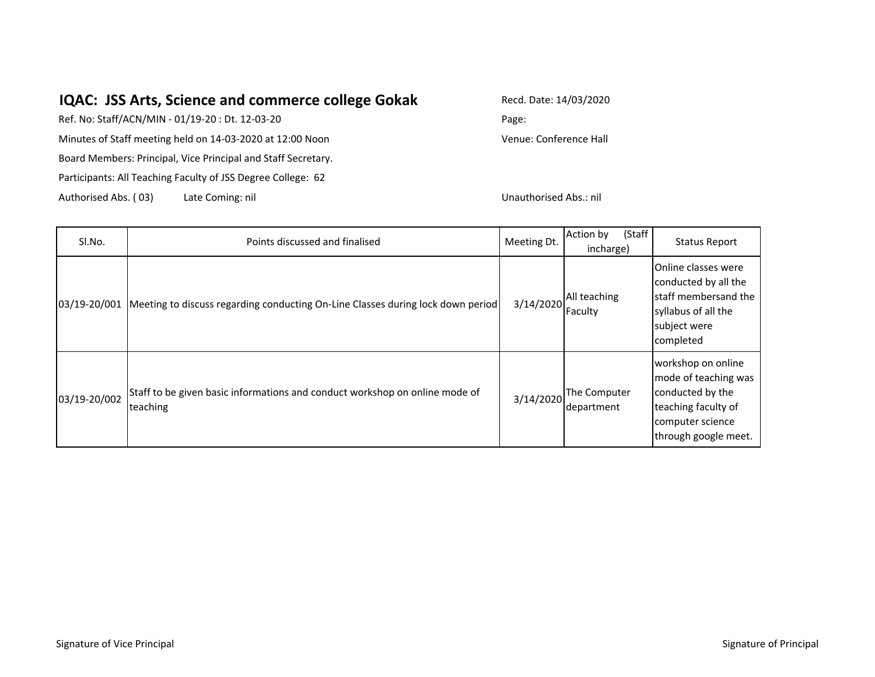## **IQAC: JSS Arts, Science and commerce college Gokak**

Participants: All Teaching Faculty of JSS Degree College: 62 Ref. No: Staff/ACN/MIN - 01/19-20 : Dt. 12-03-20 Minutes of Staff meeting held on 14-03-2020 at 12:00 Noon Board Members: Principal, Vice Principal and Staff Secretary.

Authorised Abs. ( 03) Late Coming: nil

Recd. Date: 14/03/2020

Page:

Venue: Conference Hall

Unauthorised Abs.: nil

| SI.No.       | Points discussed and finalised                                                                  | Meeting Dt. | (Staff<br>Action by<br>incharge) | <b>Status Report</b>                                                                                                              |
|--------------|-------------------------------------------------------------------------------------------------|-------------|----------------------------------|-----------------------------------------------------------------------------------------------------------------------------------|
|              | [03/19-20/001   Meeting to discuss regarding conducting On-Line Classes during lock down period | 3/14/2020   | All teaching<br>Faculty          | Online classes were<br>conducted by all the<br>Istaff membersand the<br>syllabus of all the<br>subject were<br>completed          |
| 03/19-20/002 | Staff to be given basic informations and conduct workshop on online mode of<br>teaching         | 3/14/2020   | The Computer<br>department       | workshop on online<br>mode of teaching was<br>conducted by the<br>teaching faculty of<br>computer science<br>through google meet. |